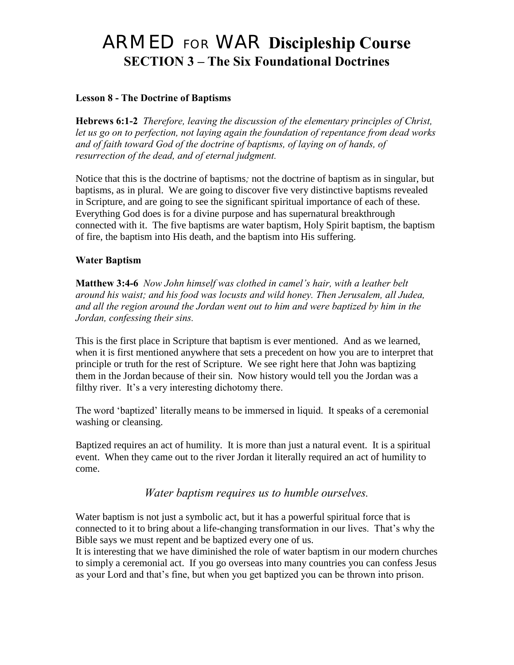# ARMED FOR WAR **Discipleship Course SECTION 3 – The Six Foundational Doctrines**

### **Lesson 8 - The Doctrine of Baptisms**

**Hebrews 6:1-2** *Therefore, leaving the discussion of the elementary principles of Christ, let us go on to perfection, not laying again the foundation of repentance from dead works*  and of faith toward God of the doctrine of baptisms, of laying on of hands, of *resurrection of the dead, and of eternal judgment.*

Notice that this is the doctrine of baptisms*;* not the doctrine of baptism as in singular, but baptisms, as in plural. We are going to discover five very distinctive baptisms revealed in Scripture, and are going to see the significant spiritual importance of each of these. Everything God does is for a divine purpose and has supernatural breakthrough connected with it. The five baptisms are water baptism, Holy Spirit baptism, the baptism of fire, the baptism into His death, and the baptism into His suffering.

### **Water Baptism**

**Matthew 3:4-6** *Now John himself was clothed in camel's hair, with a leather belt around his waist; and his food was locusts and wild honey. Then Jerusalem, all Judea, and all the region around the Jordan went out to him and were baptized by him in the Jordan, confessing their sins.* 

This is the first place in Scripture that baptism is ever mentioned. And as we learned, when it is first mentioned anywhere that sets a precedent on how you are to interpret that principle or truth for the rest of Scripture. We see right here that John was baptizing them in the Jordan because of their sin. Now history would tell you the Jordan was a filthy river. It's a very interesting dichotomy there.

The word "baptized" literally means to be immersed in liquid. It speaks of a ceremonial washing or cleansing.

Baptized requires an act of humility. It is more than just a natural event. It is a spiritual event. When they came out to the river Jordan it literally required an act of humility to come.

*Water baptism requires us to humble ourselves.*

Water baptism is not just a symbolic act, but it has a powerful spiritual force that is connected to it to bring about a life-changing transformation in our lives. That"s why the Bible says we must repent and be baptized every one of us.

It is interesting that we have diminished the role of water baptism in our modern churches to simply a ceremonial act. If you go overseas into many countries you can confess Jesus as your Lord and that"s fine, but when you get baptized you can be thrown into prison.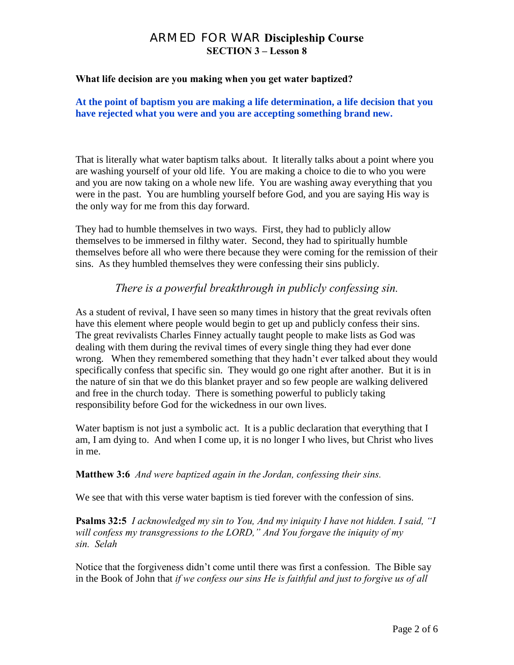### **What life decision are you making when you get water baptized?**

### **At the point of baptism you are making a life determination, a life decision that you have rejected what you were and you are accepting something brand new.**

That is literally what water baptism talks about. It literally talks about a point where you are washing yourself of your old life. You are making a choice to die to who you were and you are now taking on a whole new life. You are washing away everything that you were in the past. You are humbling yourself before God, and you are saying His way is the only way for me from this day forward.

They had to humble themselves in two ways. First, they had to publicly allow themselves to be immersed in filthy water. Second, they had to spiritually humble themselves before all who were there because they were coming for the remission of their sins. As they humbled themselves they were confessing their sins publicly.

### *There is a powerful breakthrough in publicly confessing sin.*

As a student of revival, I have seen so many times in history that the great revivals often have this element where people would begin to get up and publicly confess their sins. The great revivalists Charles Finney actually taught people to make lists as God was dealing with them during the revival times of every single thing they had ever done wrong. When they remembered something that they hadn"t ever talked about they would specifically confess that specific sin. They would go one right after another. But it is in the nature of sin that we do this blanket prayer and so few people are walking delivered and free in the church today. There is something powerful to publicly taking responsibility before God for the wickedness in our own lives.

Water baptism is not just a symbolic act. It is a public declaration that everything that I am, I am dying to. And when I come up, it is no longer I who lives, but Christ who lives in me.

### **Matthew 3:6** *And were baptized again in the Jordan, confessing their sins.*

We see that with this verse water baptism is tied forever with the confession of sins.

**Psalms 32:5** *I acknowledged my sin to You, And my iniquity I have not hidden. I said, "I will confess my transgressions to the LORD," And You forgave the iniquity of my sin. Selah*

Notice that the forgiveness didn"t come until there was first a confession. The Bible say in the Book of John that *if we confess our sins He is faithful and just to forgive us of all*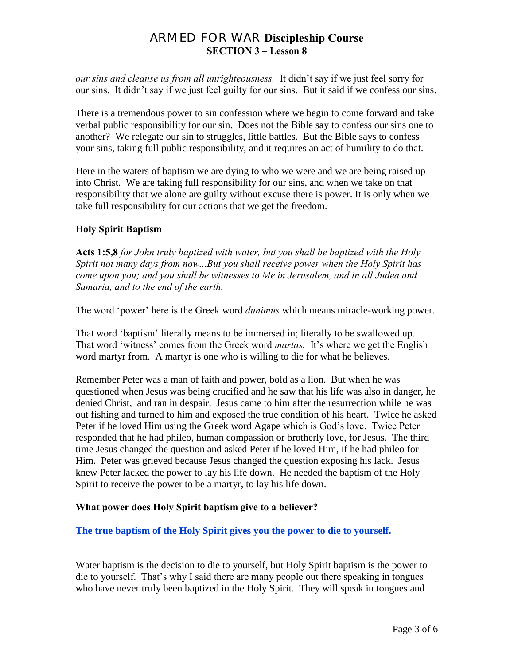*our sins and cleanse us from all unrighteousness.* It didn"t say if we just feel sorry for our sins. It didn"t say if we just feel guilty for our sins. But it said if we confess our sins.

There is a tremendous power to sin confession where we begin to come forward and take verbal public responsibility for our sin. Does not the Bible say to confess our sins one to another? We relegate our sin to struggles, little battles. But the Bible says to confess your sins, taking full public responsibility, and it requires an act of humility to do that.

Here in the waters of baptism we are dying to who we were and we are being raised up into Christ. We are taking full responsibility for our sins, and when we take on that responsibility that we alone are guilty without excuse there is power. It is only when we take full responsibility for our actions that we get the freedom.

### **Holy Spirit Baptism**

**Acts 1:5,8** *for John truly baptized with water, but you shall be baptized with the Holy Spirit not many days from now...But you shall receive power when the Holy Spirit has come upon you; and you shall be witnesses to Me in Jerusalem, and in all Judea and Samaria, and to the end of the earth.*

The word "power" here is the Greek word *dunimus* which means miracle-working power.

That word "baptism" literally means to be immersed in; literally to be swallowed up. That word 'witness' comes from the Greek word *martas*. It's where we get the English word martyr from. A martyr is one who is willing to die for what he believes.

Remember Peter was a man of faith and power, bold as a lion. But when he was questioned when Jesus was being crucified and he saw that his life was also in danger, he denied Christ, and ran in despair. Jesus came to him after the resurrection while he was out fishing and turned to him and exposed the true condition of his heart. Twice he asked Peter if he loved Him using the Greek word Agape which is God"s love. Twice Peter responded that he had phileo, human compassion or brotherly love, for Jesus. The third time Jesus changed the question and asked Peter if he loved Him, if he had phileo for Him. Peter was grieved because Jesus changed the question exposing his lack. Jesus knew Peter lacked the power to lay his life down. He needed the baptism of the Holy Spirit to receive the power to be a martyr, to lay his life down.

### **What power does Holy Spirit baptism give to a believer?**

### **The true baptism of the Holy Spirit gives you the power to die to yourself.**

Water baptism is the decision to die to yourself, but Holy Spirit baptism is the power to die to yourself. That's why I said there are many people out there speaking in tongues who have never truly been baptized in the Holy Spirit. They will speak in tongues and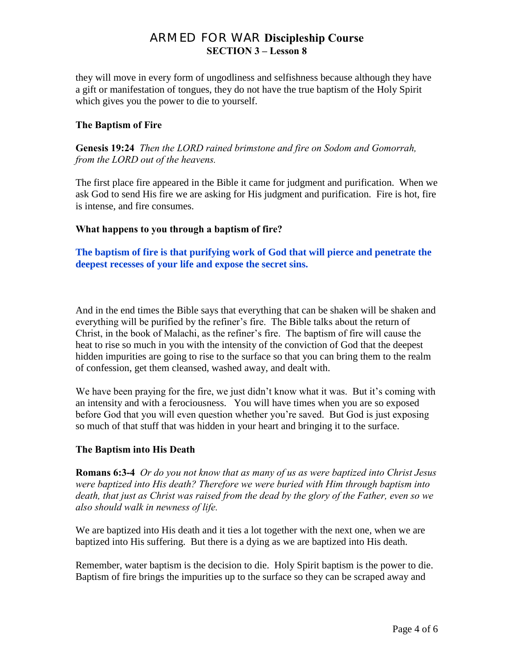they will move in every form of ungodliness and selfishness because although they have a gift or manifestation of tongues, they do not have the true baptism of the Holy Spirit which gives you the power to die to yourself.

### **The Baptism of Fire**

**Genesis 19:24** *Then the LORD rained brimstone and fire on Sodom and Gomorrah, from the LORD out of the heavens.* 

The first place fire appeared in the Bible it came for judgment and purification. When we ask God to send His fire we are asking for His judgment and purification. Fire is hot, fire is intense, and fire consumes.

### **What happens to you through a baptism of fire?**

**The baptism of fire is that purifying work of God that will pierce and penetrate the deepest recesses of your life and expose the secret sins.**

And in the end times the Bible says that everything that can be shaken will be shaken and everything will be purified by the refiner"s fire. The Bible talks about the return of Christ, in the book of Malachi, as the refiner"s fire. The baptism of fire will cause the heat to rise so much in you with the intensity of the conviction of God that the deepest hidden impurities are going to rise to the surface so that you can bring them to the realm of confession, get them cleansed, washed away, and dealt with.

We have been praying for the fire, we just didn't know what it was. But it's coming with an intensity and with a ferociousness. You will have times when you are so exposed before God that you will even question whether you"re saved. But God is just exposing so much of that stuff that was hidden in your heart and bringing it to the surface.

### **The Baptism into His Death**

**Romans 6:3-4** *Or do you not know that as many of us as were baptized into Christ Jesus were baptized into His death? Therefore we were buried with Him through baptism into death, that just as Christ was raised from the dead by the glory of the Father, even so we also should walk in newness of life.*

We are baptized into His death and it ties a lot together with the next one, when we are baptized into His suffering. But there is a dying as we are baptized into His death.

Remember, water baptism is the decision to die. Holy Spirit baptism is the power to die. Baptism of fire brings the impurities up to the surface so they can be scraped away and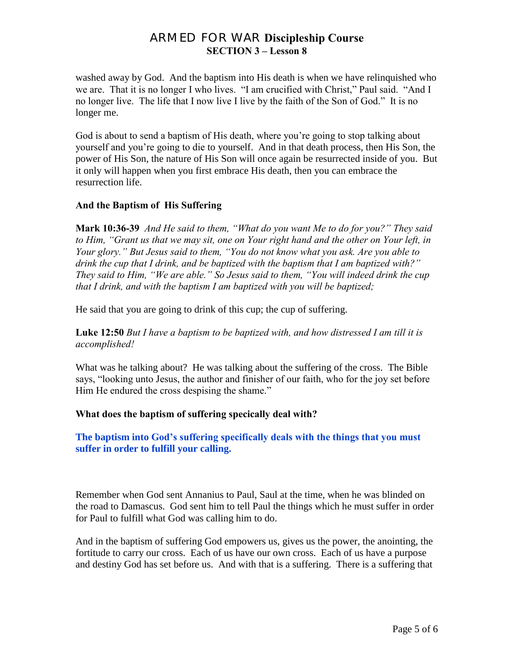washed away by God. And the baptism into His death is when we have relinquished who we are. That it is no longer I who lives. "I am crucified with Christ," Paul said. "And I no longer live. The life that I now live I live by the faith of the Son of God." It is no longer me.

God is about to send a baptism of His death, where you"re going to stop talking about yourself and you"re going to die to yourself. And in that death process, then His Son, the power of His Son, the nature of His Son will once again be resurrected inside of you. But it only will happen when you first embrace His death, then you can embrace the resurrection life.

### **And the Baptism of His Suffering**

**Mark 10:36-39** *And He said to them, "What do you want Me to do for you?" They said to Him, "Grant us that we may sit, one on Your right hand and the other on Your left, in Your glory." But Jesus said to them, "You do not know what you ask. Are you able to drink the cup that I drink, and be baptized with the baptism that I am baptized with?" They said to Him, "We are able." So Jesus said to them, "You will indeed drink the cup that I drink, and with the baptism I am baptized with you will be baptized;* 

He said that you are going to drink of this cup; the cup of suffering.

**Luke 12:50** *But I have a baptism to be baptized with, and how distressed I am till it is accomplished!*

What was he talking about? He was talking about the suffering of the cross. The Bible says, "looking unto Jesus, the author and finisher of our faith, who for the joy set before Him He endured the cross despising the shame."

### **What does the baptism of suffering specically deal with?**

### **The baptism into God's suffering specifically deals with the things that you must suffer in order to fulfill your calling.**

Remember when God sent Annanius to Paul, Saul at the time, when he was blinded on the road to Damascus. God sent him to tell Paul the things which he must suffer in order for Paul to fulfill what God was calling him to do.

And in the baptism of suffering God empowers us, gives us the power, the anointing, the fortitude to carry our cross. Each of us have our own cross. Each of us have a purpose and destiny God has set before us. And with that is a suffering. There is a suffering that